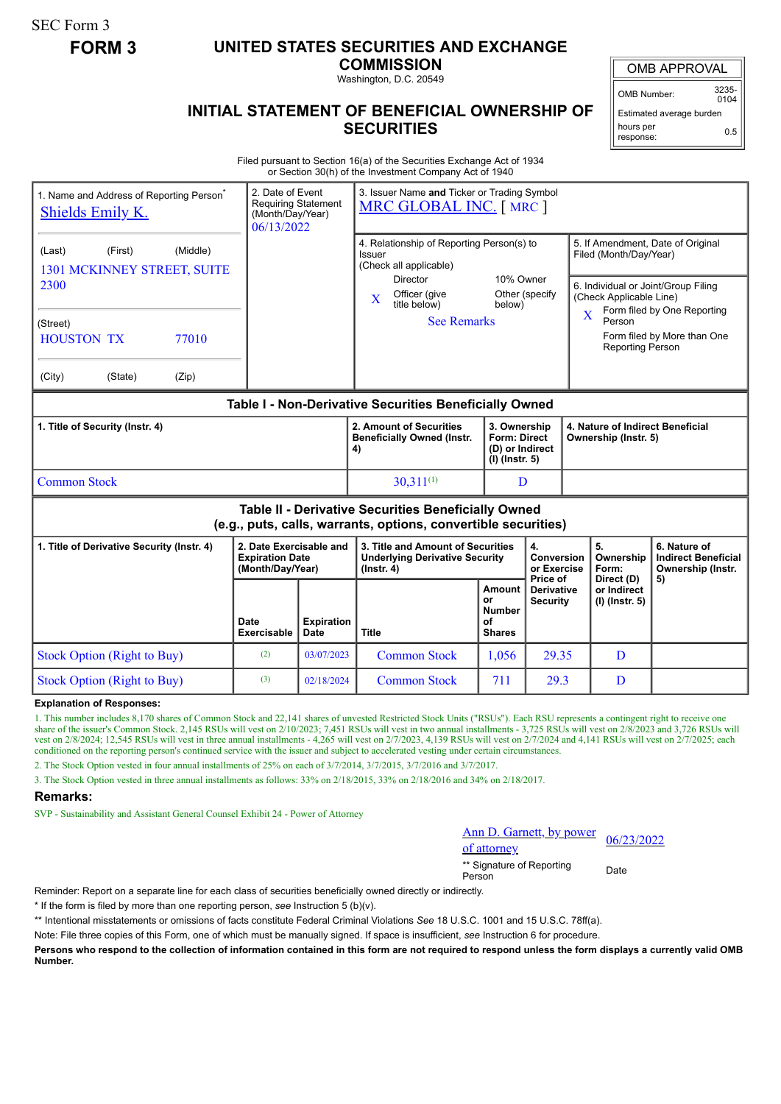SEC Form 3

## **FORM 3 UNITED STATES SECURITIES AND EXCHANGE**

**COMMISSION** Washington, D.C. 20549

## **INITIAL STATEMENT OF BENEFICIAL OWNERSHIP OF SECURITIES**

OMB APPROVAL

OMB Number: 3235-  $0104$ 

Estimated average burden hours per response: 0.5

Filed pursuant to Section 16(a) of the Securities Exchange Act of 1934 or Section 30(h) of the Investment Company Act of 1940

| 1. Name and Address of Reporting Person <sup>®</sup><br><b>Shields Emily K.</b>                                       |         |       |                                                                       | 2. Date of Event<br>3. Issuer Name and Ticker or Trading Symbol<br><b>Requiring Statement</b><br>MRC GLOBAL INC. [MRC ]<br>(Month/Day/Year)<br>06/13/2022 |                                                                                                |                                                      |                                                                                                                                                                                                                                                             |  |                                                          |                                                                 |
|-----------------------------------------------------------------------------------------------------------------------|---------|-------|-----------------------------------------------------------------------|-----------------------------------------------------------------------------------------------------------------------------------------------------------|------------------------------------------------------------------------------------------------|------------------------------------------------------|-------------------------------------------------------------------------------------------------------------------------------------------------------------------------------------------------------------------------------------------------------------|--|----------------------------------------------------------|-----------------------------------------------------------------|
| (Middle)<br>(First)<br>(Last)<br>1301 MCKINNEY STREET, SUITE<br>2300                                                  |         |       |                                                                       | 4. Relationship of Reporting Person(s) to<br>Issuer<br>(Check all applicable)<br><b>Director</b><br>Officer (give<br>X<br>title below)                    | 10% Owner<br>Other (specify<br>below)                                                          |                                                      | 5. If Amendment, Date of Original<br>Filed (Month/Day/Year)<br>6. Individual or Joint/Group Filing<br>(Check Applicable Line)<br>Form filed by One Reporting<br>$\overline{\mathbf{X}}$<br>Person<br>Form filed by More than One<br><b>Reporting Person</b> |  |                                                          |                                                                 |
| (Street)<br><b>HOUSTON TX</b><br>77010                                                                                |         |       |                                                                       | <b>See Remarks</b>                                                                                                                                        |                                                                                                |                                                      |                                                                                                                                                                                                                                                             |  |                                                          |                                                                 |
| (City)                                                                                                                | (State) | (Zip) |                                                                       |                                                                                                                                                           |                                                                                                |                                                      |                                                                                                                                                                                                                                                             |  |                                                          |                                                                 |
| Table I - Non-Derivative Securities Beneficially Owned                                                                |         |       |                                                                       |                                                                                                                                                           |                                                                                                |                                                      |                                                                                                                                                                                                                                                             |  |                                                          |                                                                 |
| 1. Title of Security (Instr. 4)                                                                                       |         |       |                                                                       |                                                                                                                                                           | 2. Amount of Securities<br><b>Beneficially Owned (Instr.</b><br>4)                             | $(I)$ (lnstr. 5)                                     | 3. Ownership<br><b>Form: Direct</b><br>(D) or Indirect                                                                                                                                                                                                      |  | 4. Nature of Indirect Beneficial<br>Ownership (Instr. 5) |                                                                 |
| <b>Common Stock</b>                                                                                                   |         |       |                                                                       |                                                                                                                                                           | $30,311^{(1)}$                                                                                 |                                                      | D                                                                                                                                                                                                                                                           |  |                                                          |                                                                 |
| Table II - Derivative Securities Beneficially Owned<br>(e.g., puts, calls, warrants, options, convertible securities) |         |       |                                                                       |                                                                                                                                                           |                                                                                                |                                                      |                                                                                                                                                                                                                                                             |  |                                                          |                                                                 |
| 1. Title of Derivative Security (Instr. 4)                                                                            |         |       | 2. Date Exercisable and<br><b>Expiration Date</b><br>(Month/Day/Year) |                                                                                                                                                           | 3. Title and Amount of Securities<br><b>Underlying Derivative Security</b><br>$($ lnstr. 4 $)$ | 4.<br>Conversion<br>or Exercise                      |                                                                                                                                                                                                                                                             |  | 5.<br>Ownership<br>Form:                                 | 6. Nature of<br><b>Indirect Beneficial</b><br>Ownership (Instr. |
|                                                                                                                       |         |       | Date<br><b>Exercisable</b>                                            | <b>Expiration</b><br><b>Date</b>                                                                                                                          | <b>Title</b>                                                                                   | Amount<br>or<br><b>Number</b><br>οf<br><b>Shares</b> | Price of<br><b>Derivative</b><br><b>Security</b>                                                                                                                                                                                                            |  | Direct (D)<br>or Indirect<br>$(I)$ (Instr. 5)            | 5)                                                              |
| <b>Stock Option (Right to Buy)</b>                                                                                    |         |       | (2)                                                                   | 03/07/2023                                                                                                                                                | <b>Common Stock</b>                                                                            | 1,056                                                | 29.35                                                                                                                                                                                                                                                       |  | D                                                        |                                                                 |
| <b>Stock Option (Right to Buy)</b>                                                                                    |         |       | (3)                                                                   | 02/18/2024                                                                                                                                                | <b>Common Stock</b>                                                                            | 711                                                  | 29.3                                                                                                                                                                                                                                                        |  | D                                                        |                                                                 |

**Explanation of Responses:**

1. This number includes 8,170 shares of Common Stock and 22,141 shares of unvested Restricted Stock Units ("RSUs"). Each RSU represents a contingent right to receive one share of the issuer's Common Stock. 2,145 RSUs will vest on 2/10/2023; 7,451 RSUs will vest in two annual installments - 3,725 RSUs will vest on 2/8/2023 and 3,726 RSUs will vest on 2/8/2024; 12,545 RSUs will vest in three annual installments - 4,265 will vest on 2/7/2023, 4,139 RSUs will vest on 2/7/2024 and 4,141 RSUs will vest on 2/7/2025; each conditioned on the reporting person's continued service with the issuer and subject to accelerated vesting under certain circumstances.

2. The Stock Option vested in four annual installments of 25% on each of 3/7/2014, 3/7/2015, 3/7/2016 and 3/7/2017.

3. The Stock Option vested in three annual installments as follows: 33% on 2/18/2015, 33% on 2/18/2016 and 34% on 2/18/2017.

## **Remarks:**

SVP - Sustainability and Assistant General Counsel Exhibit 24 - Power of Attorney

| Ann D. Garnett, by power |            |
|--------------------------|------------|
| of attorney              | 06/23/2022 |

\*\* Signature of Reporting <sub>Date</sub><br>Person

Reminder: Report on a separate line for each class of securities beneficially owned directly or indirectly.

\* If the form is filed by more than one reporting person, *see* Instruction 5 (b)(v).

\*\* Intentional misstatements or omissions of facts constitute Federal Criminal Violations *See* 18 U.S.C. 1001 and 15 U.S.C. 78ff(a).

Note: File three copies of this Form, one of which must be manually signed. If space is insufficient, *see* Instruction 6 for procedure.

**Persons who respond to the collection of information contained in this form are not required to respond unless the form displays a currently valid OMB Number.**